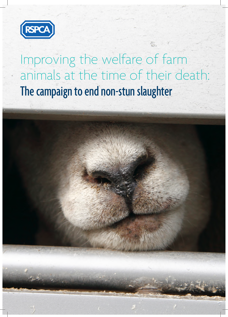

Improving the welfare of farm animals at the time of their death: The campaign to end non-stun slaughter

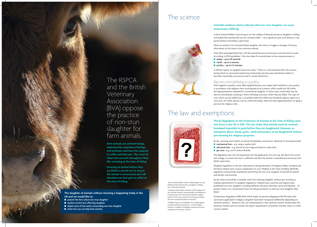## The science



### **Scientific evidence clearly indicates that non-stun slaughter can cause unnecessary suffering.**

A Farm Animal Welfare Council report on the welfare of farmed animals at slaughter or killing concluded that animals that are not stunned suffer<sup>1</sup> "...very significant pain and distress in the *period before insensibility supervenes'.*

Only after prolonged blood loss will the animal become unconscious and insensitive to pain. According to EFSA guidelines<sup>2</sup>, the time taken for animal brains to lose responsiveness is:

- 
- 

When an animal is not stunned before slaughter, the neck cut triggers a barrage of sensory information to the brain in the conscious animal.

- **n** sheep up to 20 seconds **n** cattle – up to 2 minutes
- **n** poultry up to 2.5 minutes.

A 2010 EU report on slaughter practices states<sup>3</sup>: 'There is a critical period after the incision, during which an unstunned animal may temporarily perceive pain and distress before it becomes irreversibly unconscious due to severe blood loss'.

By law, stunning must render an animal immediately unconscious. Methods of stunning include: **n** mechanical stun – e.g. using a captive bolt

**n** electrical stun – e.g. electrical stun tongs and electric water bath **gas stun** – e.g. use of carbon dioxide.

### Electro-immobilising in poultry

With regards to poultry, some halal slaughterhouses use a water bath method to stun poultry in accordance with religious rites involving electrical currents, which would not fall within the legal parameters required for conventional slaughter. In these cases, some birds may be electro-immobilised, resulting in them still being conscious when they are killed. This type of stun, which can be ineffective, is recorded within the 2018 Food Standards Agency report as a 'non-stun'. For other species such as cattle and sheep, there are clear legal parameters to apply a pre-stun for religious rites.

# The law and exemptions



<sup>1</sup> Farm Animal Welfare Council. (2003). Report on the Welfare of Farmed Animals at Slaughter or Killing, Part 1: Red Meat Animals.

**The EU Regulation on the Protection of Animals at the Time of Killing came into force in the UK in 2015. This law states that animals must be stunned (rendered insensible to pain) before they are slaughtered. However, an exemption allows sheep, goats, cattle and poultry to be slaughtered without pre-stunning for religious purposes.**

<sup>2</sup> European Food Safety Authority. (2014). Opinion of the Scientific Panel on Animal Health and Welfare on a request from the Commission related to welfare aspects of the main systems of stunning and killing the main commercial species of animals

The Regulation also sets the parameters for the application of a stun e.g. the electrical current and voltage, to ensure the stun is sufficient and that the animal is insensible (unconscious) until

death supervenes. Slaughter legislation in the UK is devolved to the governments of England, Wales, Scotland and Northern Ireland. Each country implements its own 'Welfare at the Time of Killing' (WATOK) regulations and provides exemptions permitting the non-stun slaughter of animals for Jewish and Muslim communities.

EU law does not prohibit a member state from banning slaughter without pre-stunning or making improvements to slaughter regulations. Indeed many countries and regions have prohibited non-stun slaughter, including Wallonia, Slovenia, Denmark, Latvia and Flanders . At present, there is no commitment from the UK governments to end non-stun slaughter after Brexit.

Furthermore, Regulation 1099/2009 which builds on previous Regulation 93/119 states that "provisions applicable to religious slaughter have been transposed differently depending on national contexts..." Based on this, our interpretation is that national context should mean the domestic market and not include the import requirements of another member state or a third

country market.

3 DIAREL Project, K.vol Holleben et al. (2010). Report on good and adverse practices – Animal welfare concerns in relation to slaughter practices from the viewpoint of veterinary sciences.

The RSPCA and the British Veterinary Association (BVA) oppose the practice of non-stun slaughter for farm animals.

**Farm animals are sentient beings, meaning they experience feelings and emotions and have the capacity to suffer and feel pain. This must be taken into account throughout their life, including at the time of killing.**

**Stunning an animal before they are killed is carried out to ensure the animal is unconscious and will therefore not feel pain or suffer at the time of killing.**

**The slaughter of animals without stunning is happening today in the UK and we would like to:**

- **n** present the facts about non-stun slaughter
- **n** explore current laws affecting slaughter
- $\blacksquare$  dispel some of the myths surrounding non-stun slaughter
- $\blacksquare$  share how you can help farm animals.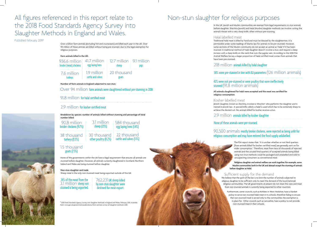# All figures referenced in this report relate to the 2018 Food Standards Agency Survey into Slaughter Methods in England and Wales.

Published February 20194

Over a billion farm animals (excluding fish and crustaceans) are killed each year in the UK. Over 94 million of these animals are killed without being pre-stunned, due to the legal exemption for religious purposes.

### **Farm animals killed in the UK:**

### **Number of farm animals in England subjected to non-stun:**

**Breakdown by species: number of animals killed without stunning and percentage of total number killed:**

None of the governments within the UK have a legal requirement that ensures all animals are stunned before slaughter. However, all animals currently slaughtered in Scotland, Northern Ireland and Wales are being stunned before slaughter.

#### **Non-stun slaughter and trade**

Sheep meat is the only non-stunned meat being exported outside of the UK.

4 2018 Food Standards Agency Survey into Slaughter Methods in England and Wales. February 2019. Available from: www.gov.uk/government/publications/farm-animals-survey-of-slaughter-methods-2018

| broiler (meat) chickens | 936.6 million   41.7 million   12.7 million   9.1 million<br>egg laying hens | sheep       | JIRS |
|-------------------------|------------------------------------------------------------------------------|-------------|------|
| 7.6 million             | 19 million                                                                   | 20 thousand |      |
| turkevs                 | cattle and calves                                                            | goats       |      |

Over 94 million farm animals were slaughtered without pre-stunning in 2018:

### 91.8 million for halal certified meat

### 2.9 million for kosher certified meat

24% of the meat from the 3.1 million sheep not stunned is being exported.

762,231 UK sheep killed by non-stun slaughter were destined for meat export.

# Non-stun slaughter for religious purposes

In the UK, Jewish and Muslim communities are exempt from legal requirements to stun animals before slaughter. Shechita (Jewish) and Halal (Muslim) slaughter methods can involve cutting the animal's throat with a very sharp knife, often without pre-stunning.

### 58% were pre-stunned in line with EU parameters (126 million animals)

Halal labelled meat Traditional halal meat is killed by hand and must be blessed by the slaughterman. It is permissible under some readings of Islamic law for animals to be pre-stunned. However, some sections of the Muslim community do not accept an animal as 'Halal' if it has been stunned. A traditional method of halal slaughter doesn't involve a stun, and requires a deep incision with a sharp knife on the neck that cuts the jugular vein. According to the 2018 FSA Animal Welfare Survey, a larger proportion of halal certified meat comes from animals that have been pre-stunned.

## 218 million animals killed by halal slaughter

### 90,500 animals mostly broiler chickens, were rejected as being unfit for religious consumption and may have entered the food supply unlabelled.



**All animals slaughtered for halal were accepted and the meat was certified for religious consumption.**

Kosher labelled meat

Jewish slaughter, known as shechita, involves a 'Shochet' who performs the slaughter and is trained in Jewish law. A special knife called a chalaf is used which has to be extremely sharp to achieve the desired cut. No animals killed for kosher receive a stun.

### 2.9 million animals killed by kosher slaughter

The FSA report states that: "It is unclear whether or not hind quarters [from animals killed for kosher certified meat] are generally sent on for wider consumption." Therefore, meat from tens of thousands of rejected animals and the unused hind quarters of accepted animals being killed using non-stun methods could be packaged and unlabelled and sold to unsuspecting consumers as conventional meat.

**Religious slaughter and animal welfare can work together. For example, some Muslim communities both in the UK and abroad accept the stunning of animals before slaughter as Halal.**

Sufficient supply for the demand We believe that the spirit of the law is to limit the number of animals subjected to religious slaughter to be sufficient only to meet the demand of the local (national) religious communities. The UK governments at present do not share this view and meat from non-stunned animals is currently being exported to other countries.

Furthermore, some councils, such as Kirklees in West Yorkshire, have a blanket policy to serve non-stunned halal meat in its schools, therefore failing to ensure that non-stunned meat is served only to the communities the exemption is in place for. Other councils such as Lancashire, have a policy to not provide non-stunned meat in their schools.

3.1 million sheep (25%)

90.8 million broiler chickens (9.7%) 38 thousand turkeys (0.5%)

584 thousand egg laying hens (1.4%)

30 thousand other poultry (0.2%) 1.5 thousand

22 thousand cattle and calves (1.1%)

goats (7.5%)

### None of these animals were pre-stunned.

42% were not pre-stunned or were poultry that were ineffectively

# stunned (91.8 million animals)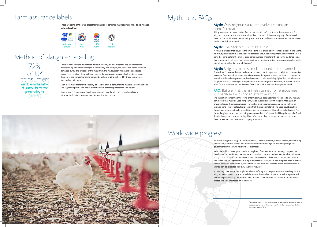# Myths and FAQs

animal's throat. Killing an animal by throat cutting (also known as 'sticking') is not exclusive to slaughter for religious purposes, it is a practice used to bleed out and kill the vast majority of cattle and sheep in the UK. However, pre-stunning ensures the animal is unconscious when the neck is cut so the animal does not suffer.

**Myth:** The neck cut is just like a stun A stun is a process that results in the immediate loss of sensibility (consciousness) in the animal. Religious groups claim that the neck cut serves as a stun. However, after neck cutting there is a period of time before the animal loses consciousness. Therefore the scientific evidence shows that a neck cut is not consistent with an animal immediately losing consciousness and, as such, cannot be considered a form of stunning<sup>5</sup>. .

### **Myth:** Religious meat is cruel and needs to be banned

There doesn't necessarily need to be a ban on meat that is important to religious communities to ensure farm animals receive a more humane death. A proportion of halal meat comes from animals that have been pre-stunned and certified as halal, which highlights that more humane slaughter practices and religious requirements can work together. However, all kosher certified meat for the Jewish community comes from animals that have not been pre-stunned.

## **FAQ:** But aren't all the animals stunned for religious meat

just paralysed – it's not an effective stun? The legislation concerning the killing of farm animals does not make reference to any stunning parameters that must be used for poultry killed in accordance with religious rites. Such an omission leaves this important area – which has a significant impact on poultry welfare at a critical time – unregulated. It is possible that those parameters being used could result in the animals being electrically immobilised and conscious rather than effectively stunned. For those slaughterhouses using stunning parameters that don't meet the EU regulations, the Food Standards Agency is now recording this as a 'non-stun'. For other species such as cattle and sheep, there are clear parameters to apply a pre-stun.

## Worldwide progress

<sup>5</sup> Mellor, D.J., et al. 2009 A re-evaluation of the need to stun calves prior to slaughter by ventral neck incision: An introductory review. New Zealand Veterinary Journal 57, 74-79

Non-stun slaughter is illegal in Denmark, Malta, Slovenia, Sweden, Cyprus, Finland, Luxembourg, Switzerland, Norway, Iceland and Wallonia and Flanders in Belgium. We strongly urge the governments in the UK to follow these examples.

New Zealand has never permitted the slaughter of animals without stunning. Despite this, they have a successful meat export trade to Muslim countries, such as Saudi Arabia, Indonesia, Malaysia and the Gulf Cooperation Council. Australia does allow a small number of poultry and sheep to be slaughtered without pre-stunning for local Jewish consumption only, but these animals receive a post-cut stun, which reduces the period of consciousness. Meat from these animals can be exported to New Zealand if required.

In Germany abattoirs must apply for a licence if they wish to perform non-stun slaughter for religious exemptions. The licence will determine the number of animals which are permitted to be slaughtered using this method. This aids traceability should the actual number involved exceed the amount stated on the licence.

# **Myth:** Only religious slaughter involves cutting an

## Farm assurance labels

**These are some of the UK's largest farm assurance schemes that require animals to be stunned before slaughter.**

# Method of slaughter labelling

Some animals that are slaughtered without stunning do not meet the required standards demanded by the intended religious community. For example, the knife used may have been damaged during the process, or the meat from the hindquarters may not be considered kosher. This results in the meat being rejected on religious grounds, which we believe can then enter the conventional market and be unknowingly purchased by those that do not have such requirements.

Such meat must therefore be clearly labelled to enable consumers to make an informed choice and align their purchasing habits with their own personal preferences and beliefs.

'Pre-stunned', 'Post-stunned' and 'Non-stunned' meat labels could provide sufficient information for the consumer to make an informed choice.





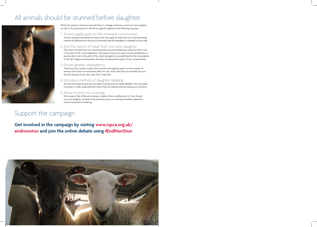# All animals should be stunned before slaughter.



Whilst this practice continues and until there is a change in the law to end non-stun slaughter, we call on the governments in the UK to urgently implement the following measures:

1. Ensure supply goes to the intended communities Stricter measures are needed to ensure that the supply of meat from non-stunned animals matches the demand from the local communities that the derogation is intended to serve only.

### 2. End the export of meat from non-stun slaughter

The export of meat from non-stunned animals must be prohibited as a practice that is not in the spirit of the current legislation. The export of non-stun meat must be prohibited as a practice that is not in the spirit of the current derogation to provide food for the consumption of the UK's religious communities. Germany has banned the export of non-stunned meat.

### 3. Ensure greater transparency

There must be a system in place which records and regularly reports on the number of animals which have not received an effective stun, those who have not received any stun and the amount of non-stun meat that is exported.

### 4. Introduce method of slaughter labelling

All meat from animals that have not been stunned must be clearly labelled. This will enable consumers to fully understand the choice they are making when purchasing such products.

### 5. Move to post-cut stunning

We recognise that while pre-stunning is superior from a welfare point of view, should non-stun slaughter continue to be permitted, post-cut stunning should be required to reduce the period of suffering.

# Support the campaign

**Get involved in the campaign by visiting www.rspca.org.uk/ endnonstun and join the online debate using #EndNonStun**

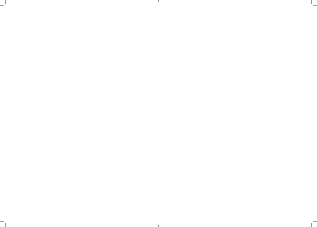$\mathbb{R}^2$ 

 $\overline{\phantom{a}}$ 

 $\overline{\phantom{a}}$